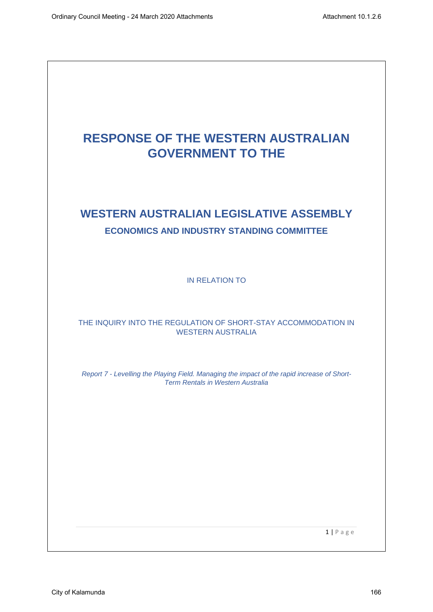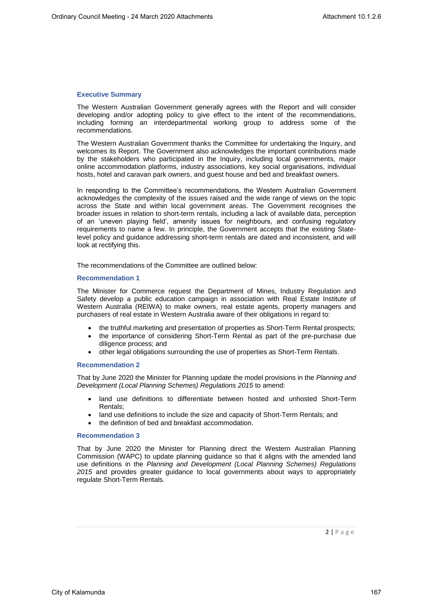# **Executive Summary**

The Western Australian Government generally agrees with the Report and will consider developing and/or adopting policy to give effect to the intent of the recommendations, including forming an interdepartmental working group to address some of the recommendations.

The Western Australian Government thanks the Committee for undertaking the Inquiry, and welcomes its Report. The Government also acknowledges the important contributions made by the stakeholders who participated in the Inquiry, including local governments, major online accommodation platforms, industry associations, key social organisations, individual hosts, hotel and caravan park owners, and guest house and bed and breakfast owners.

In responding to the Committee's recommendations, the Western Australian Government acknowledges the complexity of the issues raised and the wide range of views on the topic across the State and within local government areas. The Government recognises the broader issues in relation to short-term rentals, including a lack of available data, perception of an 'uneven playing field', amenity issues for neighbours, and confusing regulatory requirements to name a few. In principle, the Government accepts that the existing Statelevel policy and guidance addressing short-term rentals are dated and inconsistent, and will look at rectifying this.

The recommendations of the Committee are outlined below:

#### **Recommendation 1**

The Minister for Commerce request the Department of Mines, Industry Regulation and Safety develop a public education campaign in association with Real Estate Institute of Western Australia (REIWA) to make owners, real estate agents, property managers and purchasers of real estate in Western Australia aware of their obligations in regard to:

- the truthful marketing and presentation of properties as Short-Term Rental prospects;
- the importance of considering Short-Term Rental as part of the pre-purchase due diligence process; and
- other legal obligations surrounding the use of properties as Short-Term Rentals.

## **Recommendation 2**

That by June 2020 the Minister for Planning update the model provisions in the *Planning and Development (Local Planning Schemes) Regulations 2015* to amend:

- land use definitions to differentiate between hosted and unhosted Short-Term Rentals;
- land use definitions to include the size and capacity of Short-Term Rentals; and
- the definition of bed and breakfast accommodation.

## **Recommendation 3**

That by June 2020 the Minister for Planning direct the Western Australian Planning Commission (WAPC) to update planning guidance so that it aligns with the amended land use definitions in the *Planning and Development (Local Planning Schemes) Regulations 2015* and provides greater guidance to local governments about ways to appropriately regulate Short-Term Rentals.

 $2 | P \text{ age}$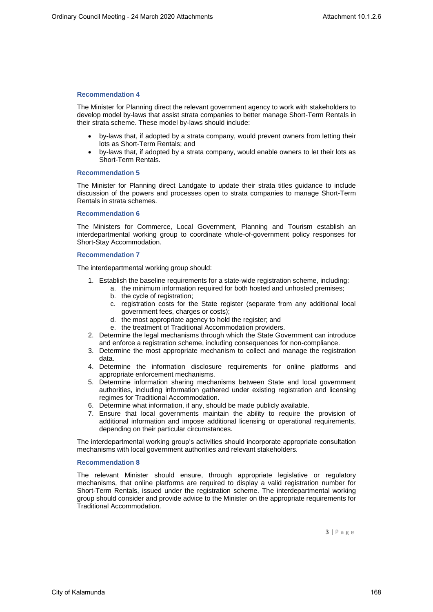The Minister for Planning direct the relevant government agency to work with stakeholders to develop model by-laws that assist strata companies to better manage Short-Term Rentals in their strata scheme. These model by-laws should include:

- by-laws that, if adopted by a strata company, would prevent owners from letting their lots as Short-Term Rentals; and
- by-laws that, if adopted by a strata company, would enable owners to let their lots as Short-Term Rentals.

# **Recommendation 5**

The Minister for Planning direct Landgate to update their strata titles guidance to include discussion of the powers and processes open to strata companies to manage Short-Term Rentals in strata schemes.

## **Recommendation 6**

The Ministers for Commerce, Local Government, Planning and Tourism establish an interdepartmental working group to coordinate whole-of-government policy responses for Short-Stay Accommodation.

#### **Recommendation 7**

The interdepartmental working group should:

- 1. Establish the baseline requirements for a state-wide registration scheme, including:
	- a. the minimum information required for both hosted and unhosted premises;
		- b. the cycle of registration;
		- c. registration costs for the State register (separate from any additional local government fees, charges or costs);
		- d. the most appropriate agency to hold the register; and
		- e. the treatment of Traditional Accommodation providers.
- 2. Determine the legal mechanisms through which the State Government can introduce and enforce a registration scheme, including consequences for non-compliance.
- 3. Determine the most appropriate mechanism to collect and manage the registration data.
- 4. Determine the information disclosure requirements for online platforms and appropriate enforcement mechanisms.
- 5. Determine information sharing mechanisms between State and local government authorities, including information gathered under existing registration and licensing regimes for Traditional Accommodation.
- 6. Determine what information, if any, should be made publicly available.
- 7. Ensure that local governments maintain the ability to require the provision of additional information and impose additional licensing or operational requirements, depending on their particular circumstances.

The interdepartmental working group's activities should incorporate appropriate consultation mechanisms with local government authorities and relevant stakeholders.

## **Recommendation 8**

The relevant Minister should ensure, through appropriate legislative or regulatory mechanisms, that online platforms are required to display a valid registration number for Short-Term Rentals, issued under the registration scheme. The interdepartmental working group should consider and provide advice to the Minister on the appropriate requirements for Traditional Accommodation.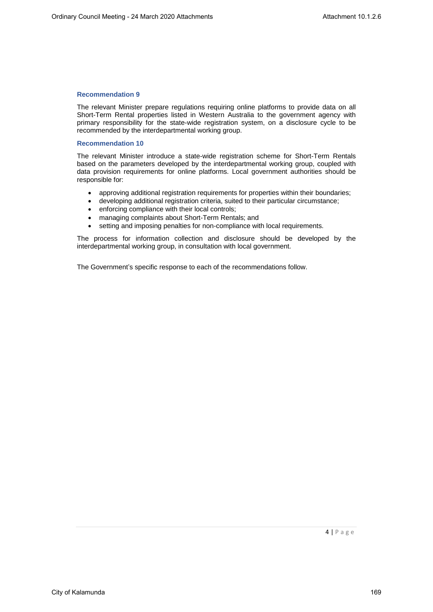The relevant Minister prepare regulations requiring online platforms to provide data on all Short-Term Rental properties listed in Western Australia to the government agency with primary responsibility for the state-wide registration system, on a disclosure cycle to be recommended by the interdepartmental working group.

# **Recommendation 10**

The relevant Minister introduce a state-wide registration scheme for Short-Term Rentals based on the parameters developed by the interdepartmental working group, coupled with data provision requirements for online platforms. Local government authorities should be responsible for:

- approving additional registration requirements for properties within their boundaries;
- developing additional registration criteria, suited to their particular circumstance;
- enforcing compliance with their local controls;
- managing complaints about Short-Term Rentals; and
- setting and imposing penalties for non-compliance with local requirements.

The process for information collection and disclosure should be developed by the interdepartmental working group, in consultation with local government.

The Government's specific response to each of the recommendations follow.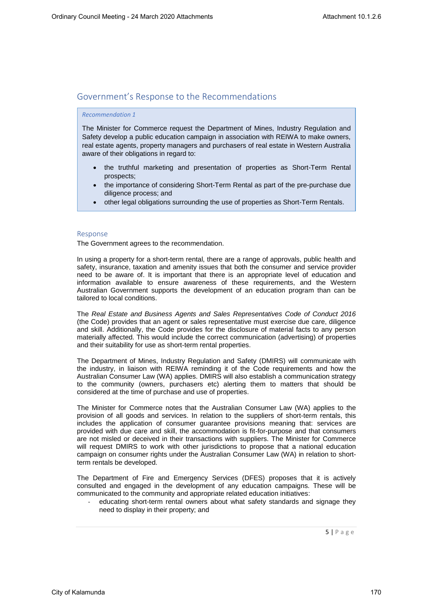# Government's Response to the Recommendations

## *Recommendation 1*

The Minister for Commerce request the Department of Mines, Industry Regulation and Safety develop a public education campaign in association with REIWA to make owners, real estate agents, property managers and purchasers of real estate in Western Australia aware of their obligations in regard to:

- the truthful marketing and presentation of properties as Short-Term Rental prospects;
- the importance of considering Short-Term Rental as part of the pre-purchase due diligence process; and
- other legal obligations surrounding the use of properties as Short-Term Rentals.

#### Response

The Government agrees to the recommendation.

In using a property for a short-term rental, there are a range of approvals, public health and safety, insurance, taxation and amenity issues that both the consumer and service provider need to be aware of. It is important that there is an appropriate level of education and information available to ensure awareness of these requirements, and the Western Australian Government supports the development of an education program than can be tailored to local conditions.

The *Real Estate and Business Agents and Sales Representatives Code of Conduct 2016* (the Code) provides that an agent or sales representative must exercise due care, diligence and skill. Additionally, the Code provides for the disclosure of material facts to any person materially affected. This would include the correct communication (advertising) of properties and their suitability for use as short-term rental properties.

The Department of Mines, Industry Regulation and Safety (DMIRS) will communicate with the industry, in liaison with REIWA reminding it of the Code requirements and how the Australian Consumer Law (WA) applies. DMIRS will also establish a communication strategy to the community (owners, purchasers etc) alerting them to matters that should be considered at the time of purchase and use of properties.

The Minister for Commerce notes that the Australian Consumer Law (WA) applies to the provision of all goods and services. In relation to the suppliers of short-term rentals, this includes the application of consumer guarantee provisions meaning that: services are provided with due care and skill, the accommodation is fit-for-purpose and that consumers are not misled or deceived in their transactions with suppliers. The Minister for Commerce will request DMIRS to work with other jurisdictions to propose that a national education campaign on consumer rights under the Australian Consumer Law (WA) in relation to shortterm rentals be developed.

The Department of Fire and Emergency Services (DFES) proposes that it is actively consulted and engaged in the development of any education campaigns. These will be communicated to the community and appropriate related education initiatives:

educating short-term rental owners about what safety standards and signage they need to display in their property; and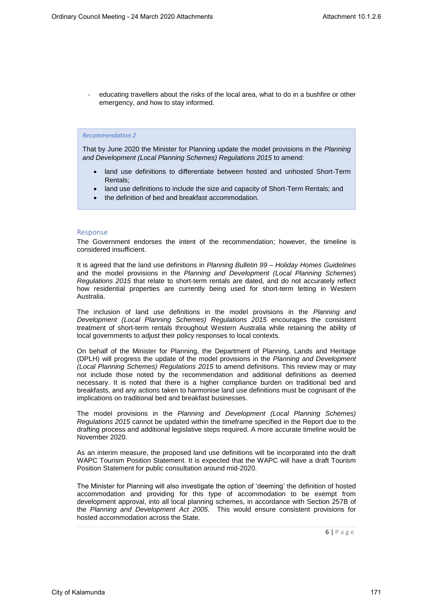educating travellers about the risks of the local area, what to do in a bushfire or other emergency, and how to stay informed.

#### *Recommendation 2*

That by June 2020 the Minister for Planning update the model provisions in the *Planning and Development (Local Planning Schemes) Regulations 2015* to amend:

- land use definitions to differentiate between hosted and unhosted Short-Term Rentals;
- land use definitions to include the size and capacity of Short-Term Rentals; and
- the definition of bed and breakfast accommodation.

#### Response

The Government endorses the intent of the recommendation; however, the timeline is considered insufficient.

It is agreed that the land use definitions in *Planning Bulletin 99 – Holiday Homes Guidelines* and the model provisions in the *Planning and Development (Local Planning Schemes*) *Regulations 2015* that relate to short-term rentals are dated, and do not accurately reflect how residential properties are currently being used for short-term letting in Western Australia.

The inclusion of land use definitions in the model provisions in the *Planning and Development (Local Planning Schemes) Regulations 2015* encourages the consistent treatment of short-term rentals throughout Western Australia while retaining the ability of local governments to adjust their policy responses to local contexts.

On behalf of the Minister for Planning, the Department of Planning, Lands and Heritage (DPLH) will progress the update of the model provisions in the *Planning and Development (Local Planning Schemes) Regulations 2015* to amend definitions. This review may or may not include those noted by the recommendation and additional definitions as deemed necessary. It is noted that there is a higher compliance burden on traditional bed and breakfasts, and any actions taken to harmonise land use definitions must be cognisant of the implications on traditional bed and breakfast businesses.

The model provisions in the *Planning and Development (Local Planning Schemes) Regulations 2015* cannot be updated within the timeframe specified in the Report due to the drafting process and additional legislative steps required. A more accurate timeline would be November 2020.

As an interim measure, the proposed land use definitions will be incorporated into the draft WAPC Tourism Position Statement. It is expected that the WAPC will have a draft Tourism Position Statement for public consultation around mid-2020.

The Minister for Planning will also investigate the option of 'deeming' the definition of hosted accommodation and providing for this type of accommodation to be exempt from development approval, into all local planning schemes, in accordance with Section 257B of the *Planning and Development Act 2005*. This would ensure consistent provisions for hosted accommodation across the State.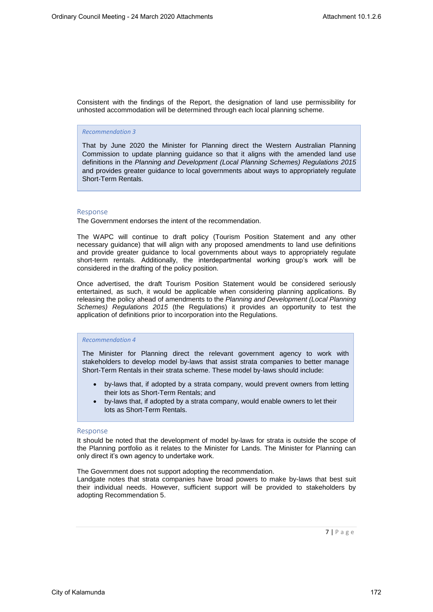Consistent with the findings of the Report, the designation of land use permissibility for unhosted accommodation will be determined through each local planning scheme.

#### *Recommendation 3*

That by June 2020 the Minister for Planning direct the Western Australian Planning Commission to update planning guidance so that it aligns with the amended land use definitions in the *Planning and Development (Local Planning Schemes) Regulations 2015*  and provides greater guidance to local governments about ways to appropriately regulate Short-Term Rentals.

#### Response

The Government endorses the intent of the recommendation.

The WAPC will continue to draft policy (Tourism Position Statement and any other necessary guidance) that will align with any proposed amendments to land use definitions and provide greater guidance to local governments about ways to appropriately regulate short-term rentals. Additionally, the interdepartmental working group's work will be considered in the drafting of the policy position.

Once advertised, the draft Tourism Position Statement would be considered seriously entertained, as such, it would be applicable when considering planning applications. By releasing the policy ahead of amendments to the *Planning and Development (Local Planning Schemes) Regulations 2015* (the Regulations) it provides an opportunity to test the application of definitions prior to incorporation into the Regulations.

## *Recommendation 4*

The Minister for Planning direct the relevant government agency to work with stakeholders to develop model by-laws that assist strata companies to better manage Short-Term Rentals in their strata scheme. These model by-laws should include:

- by-laws that, if adopted by a strata company, would prevent owners from letting their lots as Short-Term Rentals; and
- by-laws that, if adopted by a strata company, would enable owners to let their lots as Short-Term Rentals.

#### Response

It should be noted that the development of model by-laws for strata is outside the scope of the Planning portfolio as it relates to the Minister for Lands. The Minister for Planning can only direct it's own agency to undertake work.

The Government does not support adopting the recommendation.

Landgate notes that strata companies have broad powers to make by-laws that best suit their individual needs. However, sufficient support will be provided to stakeholders by adopting Recommendation 5.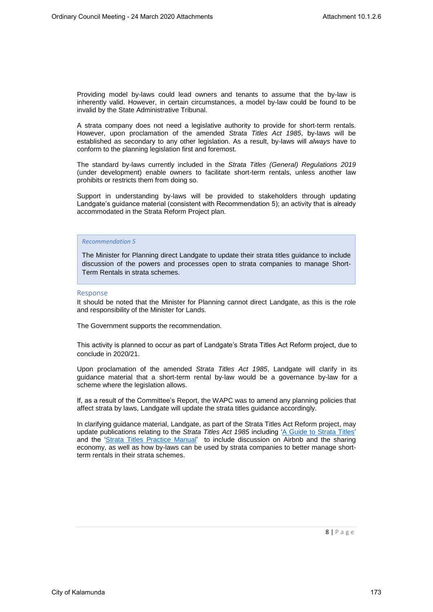Providing model by-laws could lead owners and tenants to assume that the by-law is inherently valid. However, in certain circumstances, a model by-law could be found to be invalid by the State Administrative Tribunal.

A strata company does not need a legislative authority to provide for short-term rentals. However, upon proclamation of the amended *Strata Titles Act 1985*, by-laws will be established as secondary to any other legislation. As a result, by-laws will *always* have to conform to the planning legislation first and foremost.

The standard by-laws currently included in the *Strata Titles (General) Regulations 2019* (under development) enable owners to facilitate short-term rentals, unless another law prohibits or restricts them from doing so.

Support in understanding by-laws will be provided to stakeholders through updating Landgate's guidance material (consistent with Recommendation 5); an activity that is already accommodated in the Strata Reform Project plan.

### *Recommendation 5*

The Minister for Planning direct Landgate to update their strata titles guidance to include discussion of the powers and processes open to strata companies to manage Short-Term Rentals in strata schemes.

#### Response

It should be noted that the Minister for Planning cannot direct Landgate, as this is the role and responsibility of the Minister for Lands.

The Government supports the recommendation.

This activity is planned to occur as part of Landgate's Strata Titles Act Reform project, due to conclude in 2020/21.

Upon proclamation of the amended *Strata Titles Act 1985*, Landgate will clarify in its guidance material that a short-term rental by-law would be a governance by-law for a scheme where the legislation allows.

If, as a result of the Committee's Report, the WAPC was to amend any planning policies that affect strata by laws, Landgate will update the strata titles guidance accordingly.

In clarifying guidance material, Landgate, as part of the Strata Titles Act Reform project, may update publications relating to the *Strata Titles Act 1985* including 'A Guide to Strata Titles' and the 'Strata Titles Practice Manual' to include discussion on Airbnb and the sharing economy, as well as how by-laws can be used by strata companies to better manage shortterm rentals in their strata schemes.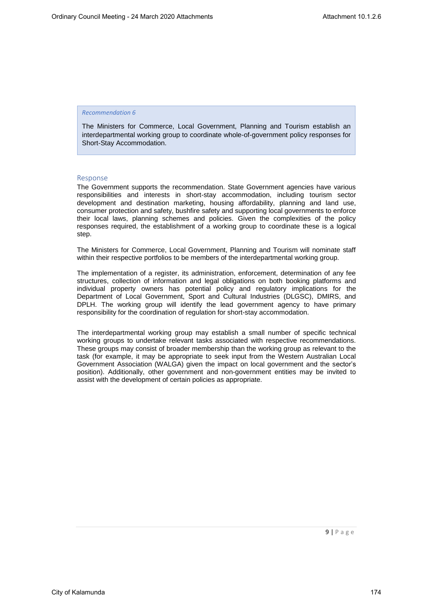The Ministers for Commerce, Local Government, Planning and Tourism establish an interdepartmental working group to coordinate whole-of-government policy responses for Short-Stay Accommodation.

## Response

The Government supports the recommendation. State Government agencies have various responsibilities and interests in short-stay accommodation, including tourism sector development and destination marketing, housing affordability, planning and land use, consumer protection and safety, bushfire safety and supporting local governments to enforce their local laws, planning schemes and policies. Given the complexities of the policy responses required, the establishment of a working group to coordinate these is a logical step.

The Ministers for Commerce, Local Government, Planning and Tourism will nominate staff within their respective portfolios to be members of the interdepartmental working group.

The implementation of a register, its administration, enforcement, determination of any fee structures, collection of information and legal obligations on both booking platforms and individual property owners has potential policy and regulatory implications for the Department of Local Government, Sport and Cultural Industries (DLGSC), DMIRS, and DPLH. The working group will identify the lead government agency to have primary responsibility for the coordination of regulation for short-stay accommodation.

The interdepartmental working group may establish a small number of specific technical working groups to undertake relevant tasks associated with respective recommendations. These groups may consist of broader membership than the working group as relevant to the task (for example, it may be appropriate to seek input from the Western Australian Local Government Association (WALGA) given the impact on local government and the sector's position). Additionally, other government and non-government entities may be invited to assist with the development of certain policies as appropriate.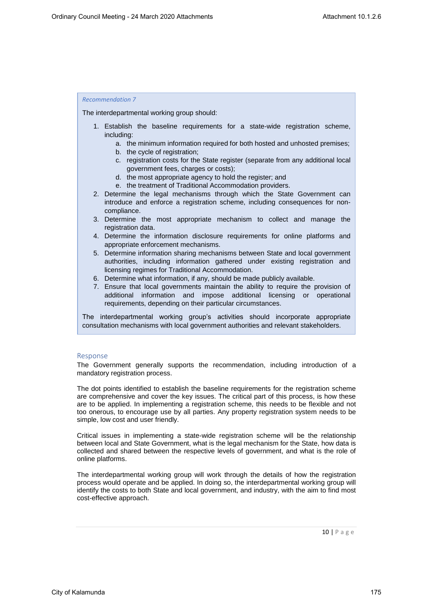The interdepartmental working group should:

- 1. Establish the baseline requirements for a state-wide registration scheme, including:
	- a. the minimum information required for both hosted and unhosted premises;
	- b. the cycle of registration;
	- c. registration costs for the State register (separate from any additional local government fees, charges or costs);
	- d. the most appropriate agency to hold the register; and
	- e. the treatment of Traditional Accommodation providers.
- 2. Determine the legal mechanisms through which the State Government can introduce and enforce a registration scheme, including consequences for noncompliance.
- 3. Determine the most appropriate mechanism to collect and manage the registration data.
- 4. Determine the information disclosure requirements for online platforms and appropriate enforcement mechanisms.
- 5. Determine information sharing mechanisms between State and local government authorities, including information gathered under existing registration and licensing regimes for Traditional Accommodation.
- 6. Determine what information, if any, should be made publicly available.
- 7. Ensure that local governments maintain the ability to require the provision of additional information and impose additional licensing or operational requirements, depending on their particular circumstances.

The interdepartmental working group's activities should incorporate appropriate consultation mechanisms with local government authorities and relevant stakeholders.

#### Response

The Government generally supports the recommendation, including introduction of a mandatory registration process.

The dot points identified to establish the baseline requirements for the registration scheme are comprehensive and cover the key issues. The critical part of this process, is how these are to be applied. In implementing a registration scheme, this needs to be flexible and not too onerous, to encourage use by all parties. Any property registration system needs to be simple, low cost and user friendly.

Critical issues in implementing a state-wide registration scheme will be the relationship between local and State Government, what is the legal mechanism for the State, how data is collected and shared between the respective levels of government, and what is the role of online platforms.

The interdepartmental working group will work through the details of how the registration process would operate and be applied. In doing so, the interdepartmental working group will identify the costs to both State and local government, and industry, with the aim to find most cost-effective approach.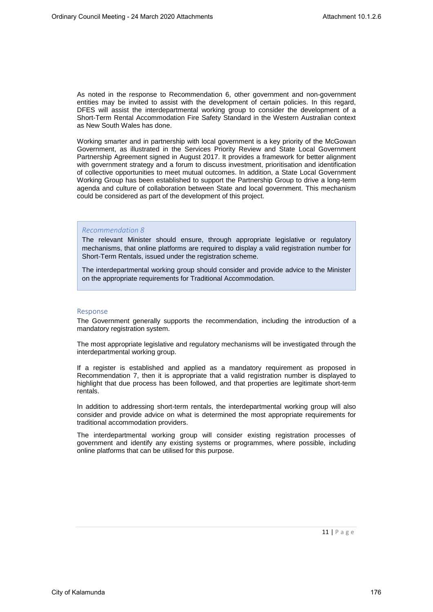As noted in the response to Recommendation 6, other government and non-government entities may be invited to assist with the development of certain policies. In this regard, DFES will assist the interdepartmental working group to consider the development of a Short-Term Rental Accommodation Fire Safety Standard in the Western Australian context as New South Wales has done.

Working smarter and in partnership with local government is a key priority of the McGowan Government, as illustrated in the Services Priority Review and State Local Government Partnership Agreement signed in August 2017. It provides a framework for better alignment with government strategy and a forum to discuss investment, prioritisation and identification of collective opportunities to meet mutual outcomes. In addition, a State Local Government Working Group has been established to support the Partnership Group to drive a long-term agenda and culture of collaboration between State and local government. This mechanism could be considered as part of the development of this project.

## *Recommendation 8*

The relevant Minister should ensure, through appropriate legislative or regulatory mechanisms, that online platforms are required to display a valid registration number for Short-Term Rentals, issued under the registration scheme.

The interdepartmental working group should consider and provide advice to the Minister on the appropriate requirements for Traditional Accommodation.

#### Response

The Government generally supports the recommendation, including the introduction of a mandatory registration system.

The most appropriate legislative and regulatory mechanisms will be investigated through the interdepartmental working group.

If a register is established and applied as a mandatory requirement as proposed in Recommendation 7, then it is appropriate that a valid registration number is displayed to highlight that due process has been followed, and that properties are legitimate short-term rentals.

In addition to addressing short-term rentals, the interdepartmental working group will also consider and provide advice on what is determined the most appropriate requirements for traditional accommodation providers.

The interdepartmental working group will consider existing registration processes of government and identify any existing systems or programmes, where possible, including online platforms that can be utilised for this purpose.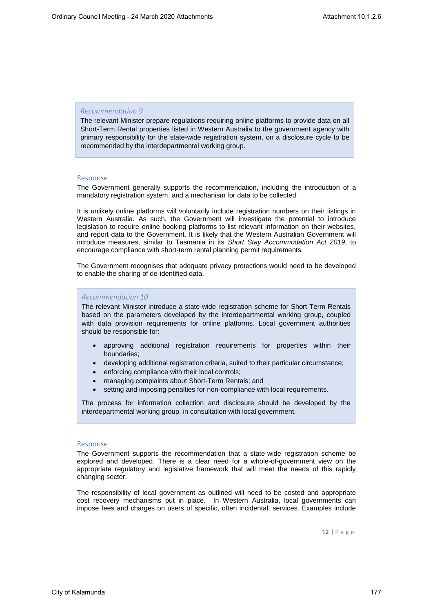The relevant Minister prepare regulations requiring online platforms to provide data on all Short-Term Rental properties listed in Western Australia to the government agency with primary responsibility for the state-wide registration system, on a disclosure cycle to be recommended by the interdepartmental working group.

#### Response

The Government generally supports the recommendation, including the introduction of a mandatory registration system, and a mechanism for data to be collected.

It is unlikely online platforms will voluntarily include registration numbers on their listings in Western Australia. As such, the Government will investigate the potential to introduce legislation to require online booking platforms to list relevant information on their websites, and report data to the Government. It is likely that the Western Australian Government will introduce measures, similar to Tasmania in its *Short Stay Accommodation Act 2019*, to encourage compliance with short-term rental planning permit requirements.

The Government recognises that adequate privacy protections would need to be developed to enable the sharing of de-identified data.

## *Recommendation 10*

The relevant Minister introduce a state-wide registration scheme for Short-Term Rentals based on the parameters developed by the interdepartmental working group, coupled with data provision requirements for online platforms. Local government authorities should be responsible for:

- approving additional registration requirements for properties within their boundaries;
- developing additional registration criteria, suited to their particular circumstance;
- enforcing compliance with their local controls;
- managing complaints about Short-Term Rentals; and
- setting and imposing penalties for non-compliance with local requirements.

The process for information collection and disclosure should be developed by the interdepartmental working group, in consultation with local government.

#### Response

The Government supports the recommendation that a state-wide registration scheme be explored and developed. There is a clear need for a whole-of-government view on the appropriate regulatory and legislative framework that will meet the needs of this rapidly changing sector.

The responsibility of local government as outlined will need to be costed and appropriate cost recovery mechanisms put in place. In Western Australia, local governments can impose fees and charges on users of specific, often incidental, services. Examples include